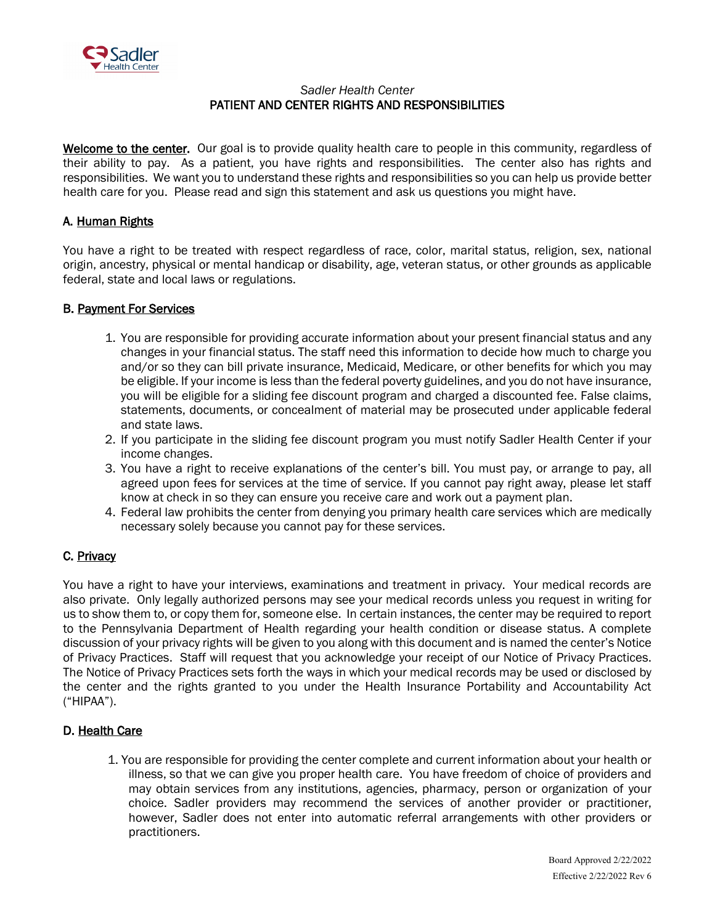

### *Sadler Health Center* PATIENT AND CENTER RIGHTS AND RESPONSIBILITIES

Welcome to the center. Our goal is to provide quality health care to people in this community, regardless of their ability to pay. As a patient, you have rights and responsibilities. The center also has rights and responsibilities. We want you to understand these rights and responsibilities so you can help us provide better health care for you. Please read and sign this statement and ask us questions you might have.

### A. Human Rights

You have a right to be treated with respect regardless of race, color, marital status, religion, sex, national origin, ancestry, physical or mental handicap or disability, age, veteran status, or other grounds as applicable federal, state and local laws or regulations.

#### B. Payment For Services

- 1. You are responsible for providing accurate information about your present financial status and any changes in your financial status. The staff need this information to decide how much to charge you and/or so they can bill private insurance, Medicaid, Medicare, or other benefits for which you may be eligible. If your income is less than the federal poverty guidelines, and you do not have insurance, you will be eligible for a sliding fee discount program and charged a discounted fee. False claims, statements, documents, or concealment of material may be prosecuted under applicable federal and state laws.
- 2. If you participate in the sliding fee discount program you must notify Sadler Health Center if your income changes.
- 3. You have a right to receive explanations of the center's bill. You must pay, or arrange to pay, all agreed upon fees for services at the time of service. If you cannot pay right away, please let staff know at check in so they can ensure you receive care and work out a payment plan.
- 4. Federal law prohibits the center from denying you primary health care services which are medically necessary solely because you cannot pay for these services.

## C. Privacy

You have a right to have your interviews, examinations and treatment in privacy. Your medical records are also private. Only legally authorized persons may see your medical records unless you request in writing for us to show them to, or copy them for, someone else. In certain instances, the center may be required to report to the Pennsylvania Department of Health regarding your health condition or disease status. A complete discussion of your privacy rights will be given to you along with this document and is named the center's Notice of Privacy Practices. Staff will request that you acknowledge your receipt of our Notice of Privacy Practices. The Notice of Privacy Practices sets forth the ways in which your medical records may be used or disclosed by the center and the rights granted to you under the Health Insurance Portability and Accountability Act ("HIPAA").

## D. Health Care

1. You are responsible for providing the center complete and current information about your health or illness, so that we can give you proper health care. You have freedom of choice of providers and may obtain services from any institutions, agencies, pharmacy, person or organization of your choice. Sadler providers may recommend the services of another provider or practitioner, however, Sadler does not enter into automatic referral arrangements with other providers or practitioners.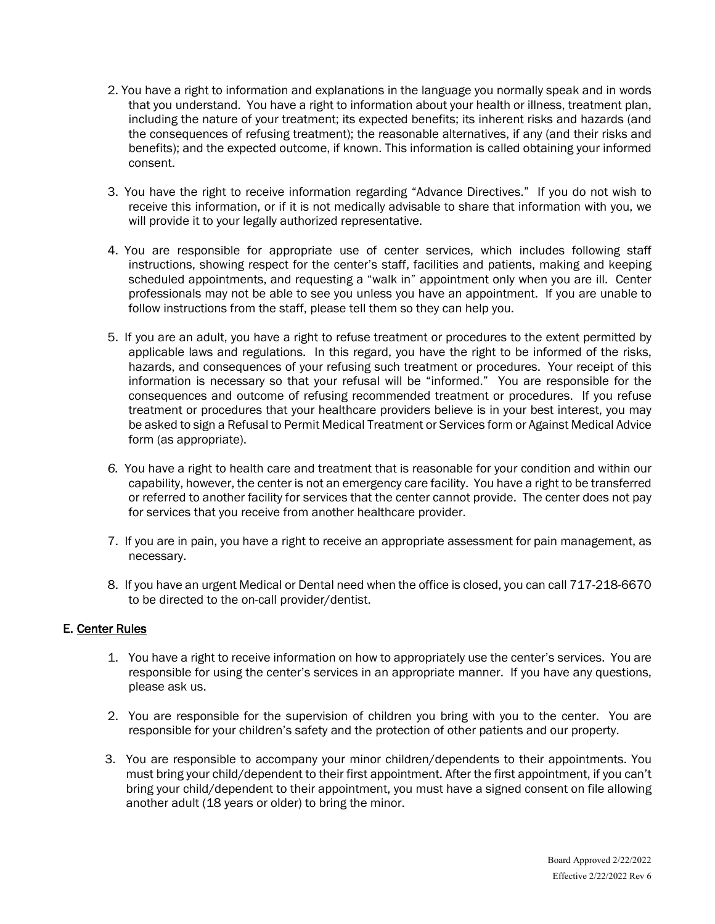- 2. You have a right to information and explanations in the language you normally speak and in words that you understand. You have a right to information about your health or illness, treatment plan, including the nature of your treatment; its expected benefits; its inherent risks and hazards (and the consequences of refusing treatment); the reasonable alternatives, if any (and their risks and benefits); and the expected outcome, if known. This information is called obtaining your informed consent.
- 3. You have the right to receive information regarding "Advance Directives." If you do not wish to receive this information, or if it is not medically advisable to share that information with you, we will provide it to your legally authorized representative.
- 4. You are responsible for appropriate use of center services, which includes following staff instructions, showing respect for the center's staff, facilities and patients, making and keeping scheduled appointments, and requesting a "walk in" appointment only when you are ill. Center professionals may not be able to see you unless you have an appointment. If you are unable to follow instructions from the staff, please tell them so they can help you.
- 5. If you are an adult, you have a right to refuse treatment or procedures to the extent permitted by applicable laws and regulations. In this regard, you have the right to be informed of the risks, hazards, and consequences of your refusing such treatment or procedures. Your receipt of this information is necessary so that your refusal will be "informed." You are responsible for the consequences and outcome of refusing recommended treatment or procedures. If you refuse treatment or procedures that your healthcare providers believe is in your best interest, you may be asked to sign a Refusal to Permit Medical Treatment or Services form or Against Medical Advice form (as appropriate).
- *6.* You have a right to health care and treatment that is reasonable for your condition and within our capability, however, the center is not an emergency care facility. You have a right to be transferred or referred to another facility for services that the center cannot provide. The center does not pay for services that you receive from another healthcare provider.
- 7. If you are in pain, you have a right to receive an appropriate assessment for pain management, as necessary.
- 8. If you have an urgent Medical or Dental need when the office is closed, you can call 717-218-6670 to be directed to the on-call provider/dentist.

## E. Center Rules

- 1. You have a right to receive information on how to appropriately use the center's services. You are responsible for using the center's services in an appropriate manner. If you have any questions, please ask us.
- 2. You are responsible for the supervision of children you bring with you to the center. You are responsible for your children's safety and the protection of other patients and our property.
- 3. You are responsible to accompany your minor children/dependents to their appointments. You must bring your child/dependent to their first appointment. After the first appointment, if you can't bring your child/dependent to their appointment, you must have a signed consent on file allowing another adult (18 years or older) to bring the minor.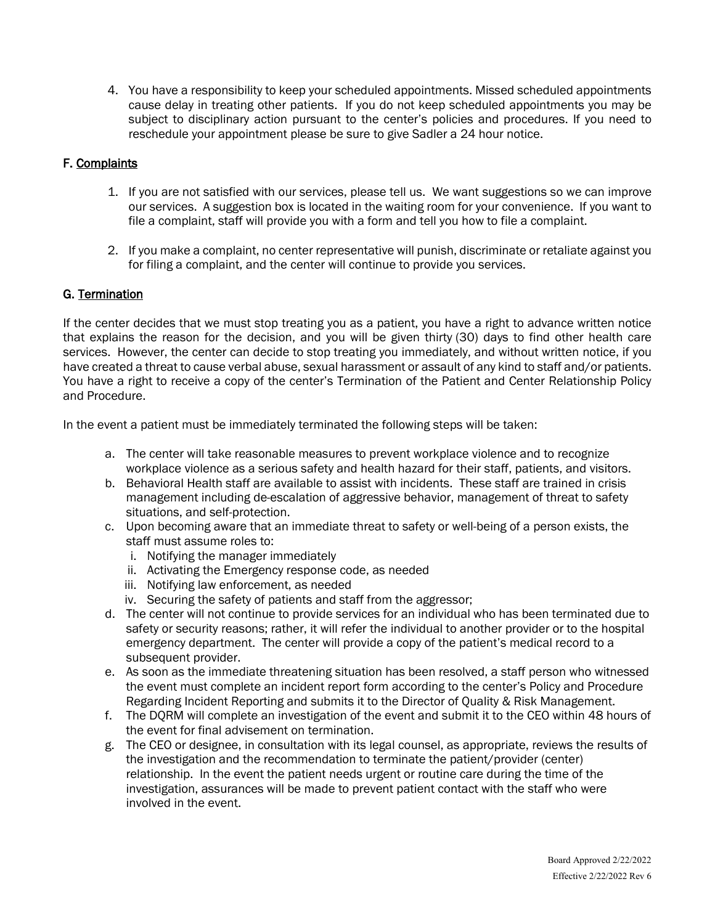4. You have a responsibility to keep your scheduled appointments. Missed scheduled appointments cause delay in treating other patients. If you do not keep scheduled appointments you may be subject to disciplinary action pursuant to the center's policies and procedures. If you need to reschedule your appointment please be sure to give Sadler a 24 hour notice.

# F. Complaints

- 1. If you are not satisfied with our services, please tell us. We want suggestions so we can improve our services. A suggestion box is located in the waiting room for your convenience. If you want to file a complaint, staff will provide you with a form and tell you how to file a complaint.
- 2. If you make a complaint, no center representative will punish, discriminate or retaliate against you for filing a complaint, and the center will continue to provide you services.

# G. Termination

If the center decides that we must stop treating you as a patient, you have a right to advance written notice that explains the reason for the decision, and you will be given thirty (30) days to find other health care services. However, the center can decide to stop treating you immediately, and without written notice, if you have created a threat to cause verbal abuse, sexual harassment or assault of any kind to staff and/or patients. You have a right to receive a copy of the center's Termination of the Patient and Center Relationship Policy and Procedure.

In the event a patient must be immediately terminated the following steps will be taken:

- a. The center will take reasonable measures to prevent workplace violence and to recognize workplace violence as a serious safety and health hazard for their staff, patients, and visitors.
- b. Behavioral Health staff are available to assist with incidents. These staff are trained in crisis management including de-escalation of aggressive behavior, management of threat to safety situations, and self-protection.
- c. Upon becoming aware that an immediate threat to safety or well-being of a person exists, the staff must assume roles to:
	- i. Notifying the manager immediately
	- ii. Activating the Emergency response code, as needed
	- iii. Notifying law enforcement, as needed
	- iv. Securing the safety of patients and staff from the aggressor;
- d. The center will not continue to provide services for an individual who has been terminated due to safety or security reasons; rather, it will refer the individual to another provider or to the hospital emergency department. The center will provide a copy of the patient's medical record to a subsequent provider.
- e. As soon as the immediate threatening situation has been resolved, a staff person who witnessed the event must complete an incident report form according to the center's Policy and Procedure Regarding Incident Reporting and submits it to the Director of Quality & Risk Management.
- f. The DQRM will complete an investigation of the event and submit it to the CEO within 48 hours of the event for final advisement on termination.
- g. The CEO or designee, in consultation with its legal counsel, as appropriate, reviews the results of the investigation and the recommendation to terminate the patient/provider (center) relationship. In the event the patient needs urgent or routine care during the time of the investigation, assurances will be made to prevent patient contact with the staff who were involved in the event.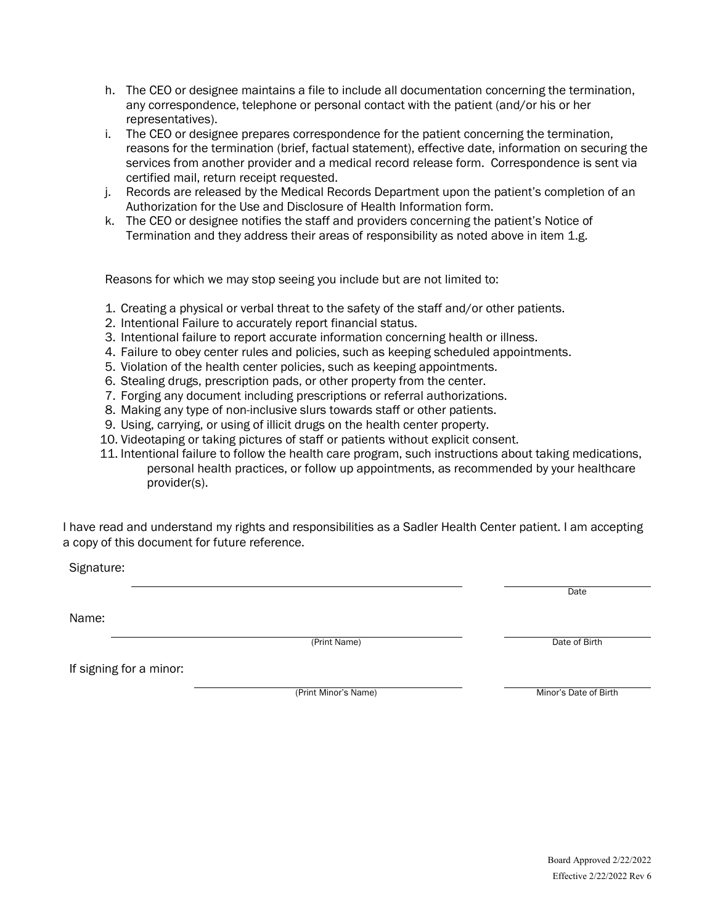- h. The CEO or designee maintains a file to include all documentation concerning the termination, any correspondence, telephone or personal contact with the patient (and/or his or her representatives).
- i. The CEO or designee prepares correspondence for the patient concerning the termination, reasons for the termination (brief, factual statement), effective date, information on securing the services from another provider and a medical record release form. Correspondence is sent via certified mail, return receipt requested.
- j. Records are released by the Medical Records Department upon the patient's completion of an Authorization for the Use and Disclosure of Health Information form.
- k. The CEO or designee notifies the staff and providers concerning the patient's Notice of Termination and they address their areas of responsibility as noted above in item 1.g.

Reasons for which we may stop seeing you include but are not limited to:

- 1. Creating a physical or verbal threat to the safety of the staff and/or other patients.
- 2. Intentional Failure to accurately report financial status.
- 3. Intentional failure to report accurate information concerning health or illness.
- 4. Failure to obey center rules and policies, such as keeping scheduled appointments.
- 5. Violation of the health center policies, such as keeping appointments.
- 6. Stealing drugs, prescription pads, or other property from the center.
- 7. Forging any document including prescriptions or referral authorizations.
- 8. Making any type of non-inclusive slurs towards staff or other patients.
- 9. Using, carrying, or using of illicit drugs on the health center property.
- 10. Videotaping or taking pictures of staff or patients without explicit consent.
- 11. Intentional failure to follow the health care program, such instructions about taking medications, personal health practices, or follow up appointments, as recommended by your healthcare provider(s).

I have read and understand my rights and responsibilities as a Sadler Health Center patient. I am accepting a copy of this document for future reference.

Signature:

Name:

(Print Name) Date of Birth

If signing for a minor:

(Print Minor's Name) Minor's Date of Birth

Date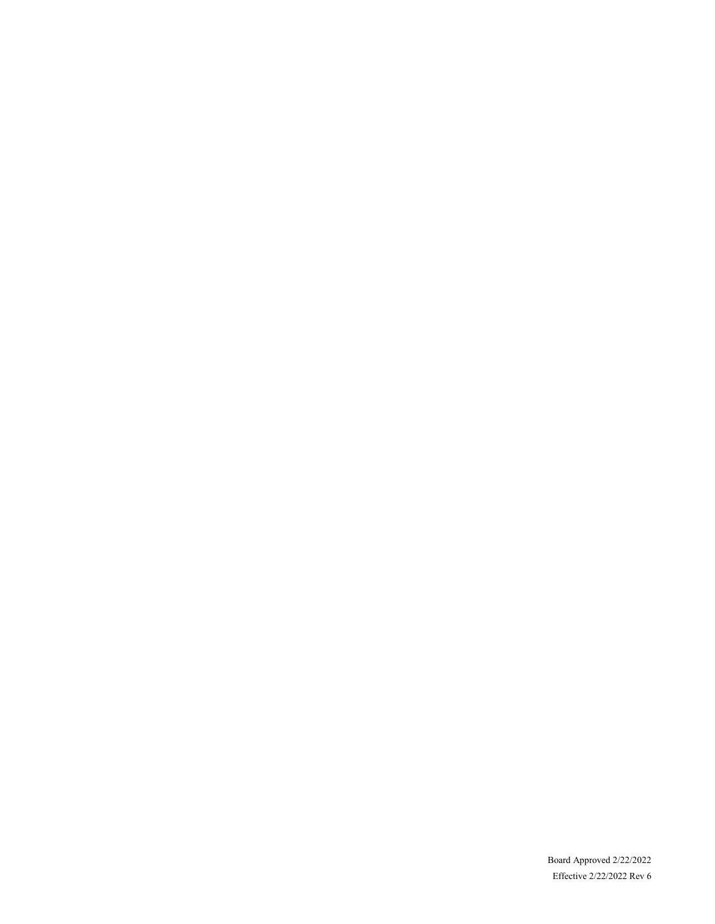Board Approved 2/22/2022 Effective 2/22/2022 Rev 6